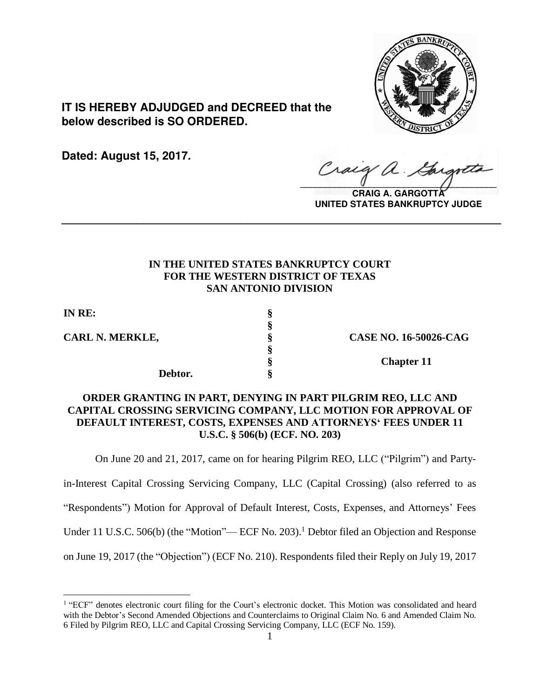

**IT IS HEREBY ADJUDGED and DECREED that the below described is SO ORDERED.**

**Dated: August 15, 2017.**

Craig  $\sqrt{2}$ 

**CRAIG A. GARGOTT UNITED STATES BANKRUPTCY JUDGE**

# **IN THE UNITED STATES BANKRUPTCY COURT FOR THE WESTERN DISTRICT OF TEXAS SAN ANTONIO DIVISION**

**\_\_\_\_\_\_\_\_\_\_\_\_\_\_\_\_\_\_\_\_\_\_\_\_\_\_\_\_\_\_\_\_\_\_\_\_\_\_\_\_\_\_\_\_\_\_\_\_\_\_\_\_\_\_\_\_\_\_\_\_\_\_\_\_**

**§**

**§**

**IN RE: §**

 $\overline{a}$ 

**CARL N. MERKLE, § CASE NO. 16-50026-CAG**

**Debtor. §**

**§ Chapter 11**

# **ORDER GRANTING IN PART, DENYING IN PART PILGRIM REO, LLC AND CAPITAL CROSSING SERVICING COMPANY, LLC MOTION FOR APPROVAL OF DEFAULT INTEREST, COSTS, EXPENSES AND ATTORNEYS' FEES UNDER 11 U.S.C. § 506(b) (ECF. NO. 203)**

On June 20 and 21, 2017, came on for hearing Pilgrim REO, LLC ("Pilgrim") and Party-

in-Interest Capital Crossing Servicing Company, LLC (Capital Crossing) (also referred to as

"Respondents") Motion for Approval of Default Interest, Costs, Expenses, and Attorneys' Fees

Under 11 U.S.C. 506(b) (the "Motion"— ECF No. 203).<sup>1</sup> Debtor filed an Objection and Response

on June 19, 2017 (the "Objection") (ECF No. 210). Respondents filed their Reply on July 19, 2017

<sup>&</sup>lt;sup>1</sup> "ECF" denotes electronic court filing for the Court's electronic docket. This Motion was consolidated and heard with the Debtor's Second Amended Objections and Counterclaims to Original Claim No. 6 and Amended Claim No. 6 Filed by Pilgrim REO, LLC and Capital Crossing Servicing Company, LLC (ECF No. 159).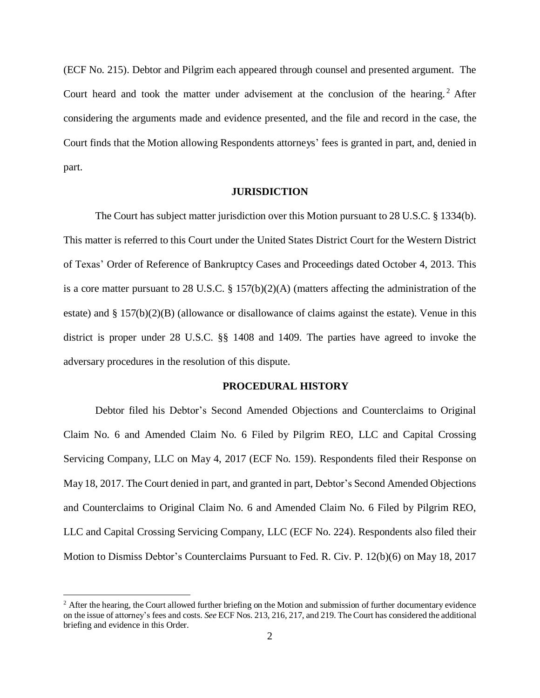(ECF No. 215). Debtor and Pilgrim each appeared through counsel and presented argument. The Court heard and took the matter under advisement at the conclusion of the hearing.<sup>2</sup> After considering the arguments made and evidence presented, and the file and record in the case, the Court finds that the Motion allowing Respondents attorneys' fees is granted in part, and, denied in part.

## **JURISDICTION**

The Court has subject matter jurisdiction over this Motion pursuant to 28 U.S.C. § 1334(b). This matter is referred to this Court under the United States District Court for the Western District of Texas' Order of Reference of Bankruptcy Cases and Proceedings dated October 4, 2013. This is a core matter pursuant to 28 U.S.C. § 157(b)(2)(A) (matters affecting the administration of the estate) and  $\S 157(b)(2)(B)$  (allowance or disallowance of claims against the estate). Venue in this district is proper under 28 U.S.C. §§ 1408 and 1409. The parties have agreed to invoke the adversary procedures in the resolution of this dispute.

### **PROCEDURAL HISTORY**

Debtor filed his Debtor's Second Amended Objections and Counterclaims to Original Claim No. 6 and Amended Claim No. 6 Filed by Pilgrim REO, LLC and Capital Crossing Servicing Company, LLC on May 4, 2017 (ECF No. 159). Respondents filed their Response on May 18, 2017. The Court denied in part, and granted in part, Debtor's Second Amended Objections and Counterclaims to Original Claim No. 6 and Amended Claim No. 6 Filed by Pilgrim REO, LLC and Capital Crossing Servicing Company, LLC (ECF No. 224). Respondents also filed their Motion to Dismiss Debtor's Counterclaims Pursuant to Fed. R. Civ. P. 12(b)(6) on May 18, 2017

<sup>&</sup>lt;sup>2</sup> After the hearing, the Court allowed further briefing on the Motion and submission of further documentary evidence on the issue of attorney's fees and costs. *See* ECF Nos. 213, 216, 217, and 219. The Court has considered the additional briefing and evidence in this Order.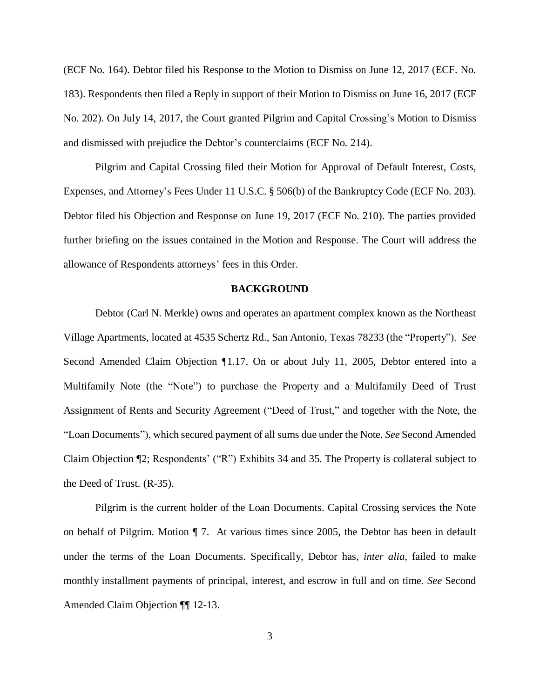(ECF No. 164). Debtor filed his Response to the Motion to Dismiss on June 12, 2017 (ECF. No. 183). Respondents then filed a Reply in support of their Motion to Dismiss on June 16, 2017 (ECF No. 202). On July 14, 2017, the Court granted Pilgrim and Capital Crossing's Motion to Dismiss and dismissed with prejudice the Debtor's counterclaims (ECF No. 214).

Pilgrim and Capital Crossing filed their Motion for Approval of Default Interest, Costs, Expenses, and Attorney's Fees Under 11 U.S.C. § 506(b) of the Bankruptcy Code (ECF No. 203). Debtor filed his Objection and Response on June 19, 2017 (ECF No. 210). The parties provided further briefing on the issues contained in the Motion and Response. The Court will address the allowance of Respondents attorneys' fees in this Order.

## **BACKGROUND**

Debtor (Carl N. Merkle) owns and operates an apartment complex known as the Northeast Village Apartments, located at 4535 Schertz Rd., San Antonio, Texas 78233 (the "Property"). *See* Second Amended Claim Objection ¶1.17. On or about July 11, 2005, Debtor entered into a Multifamily Note (the "Note") to purchase the Property and a Multifamily Deed of Trust Assignment of Rents and Security Agreement ("Deed of Trust," and together with the Note, the "Loan Documents"), which secured payment of all sums due under the Note. *See* Second Amended Claim Objection ¶2; Respondents' ("R") Exhibits 34 and 35. The Property is collateral subject to the Deed of Trust. (R-35).

Pilgrim is the current holder of the Loan Documents. Capital Crossing services the Note on behalf of Pilgrim. Motion ¶ 7. At various times since 2005, the Debtor has been in default under the terms of the Loan Documents. Specifically, Debtor has, *inter alia*, failed to make monthly installment payments of principal, interest, and escrow in full and on time. *See* Second Amended Claim Objection ¶¶ 12-13.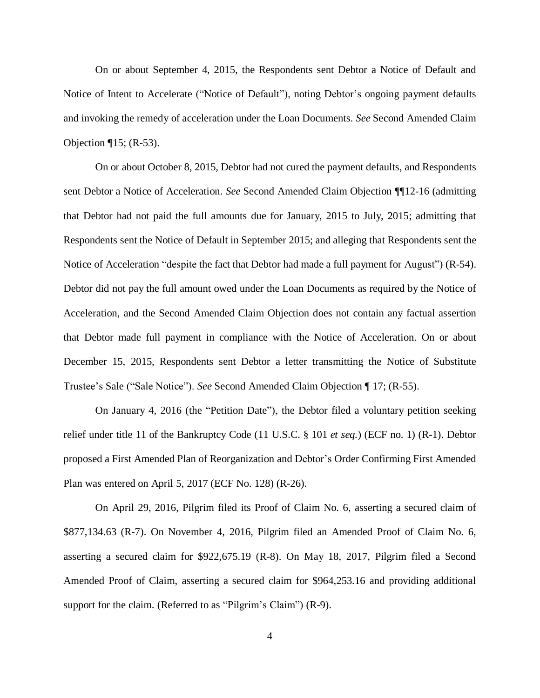On or about September 4, 2015, the Respondents sent Debtor a Notice of Default and Notice of Intent to Accelerate ("Notice of Default"), noting Debtor's ongoing payment defaults and invoking the remedy of acceleration under the Loan Documents. *See* Second Amended Claim Objection  $\P$ 15; (R-53).

On or about October 8, 2015, Debtor had not cured the payment defaults, and Respondents sent Debtor a Notice of Acceleration. *See* Second Amended Claim Objection ¶¶12-16 (admitting that Debtor had not paid the full amounts due for January, 2015 to July, 2015; admitting that Respondents sent the Notice of Default in September 2015; and alleging that Respondents sent the Notice of Acceleration "despite the fact that Debtor had made a full payment for August") (R-54). Debtor did not pay the full amount owed under the Loan Documents as required by the Notice of Acceleration, and the Second Amended Claim Objection does not contain any factual assertion that Debtor made full payment in compliance with the Notice of Acceleration. On or about December 15, 2015, Respondents sent Debtor a letter transmitting the Notice of Substitute Trustee's Sale ("Sale Notice"). *See* Second Amended Claim Objection ¶ 17; (R-55).

On January 4, 2016 (the "Petition Date"), the Debtor filed a voluntary petition seeking relief under title 11 of the Bankruptcy Code (11 U.S.C. § 101 *et seq.*) (ECF no. 1) (R-1). Debtor proposed a First Amended Plan of Reorganization and Debtor's Order Confirming First Amended Plan was entered on April 5, 2017 (ECF No. 128) (R-26).

On April 29, 2016, Pilgrim filed its Proof of Claim No. 6, asserting a secured claim of \$877,134.63 (R-7). On November 4, 2016, Pilgrim filed an Amended Proof of Claim No. 6, asserting a secured claim for \$922,675.19 (R-8). On May 18, 2017, Pilgrim filed a Second Amended Proof of Claim, asserting a secured claim for \$964,253.16 and providing additional support for the claim. (Referred to as "Pilgrim's Claim") (R-9).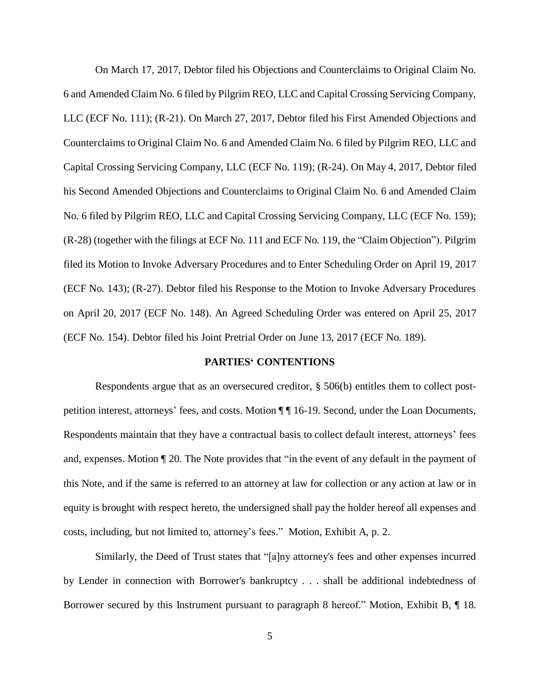On March 17, 2017, Debtor filed his Objections and Counterclaims to Original Claim No. 6 and Amended Claim No. 6 filed by Pilgrim REO, LLC and Capital Crossing Servicing Company, LLC (ECF No. 111); (R-21). On March 27, 2017, Debtor filed his First Amended Objections and Counterclaims to Original Claim No. 6 and Amended Claim No. 6 filed by Pilgrim REO, LLC and Capital Crossing Servicing Company, LLC (ECF No. 119); (R-24). On May 4, 2017, Debtor filed his Second Amended Objections and Counterclaims to Original Claim No. 6 and Amended Claim No. 6 filed by Pilgrim REO, LLC and Capital Crossing Servicing Company, LLC (ECF No. 159); (R-28) (together with the filings at ECF No. 111 and ECF No. 119, the "Claim Objection"). Pilgrim filed its Motion to Invoke Adversary Procedures and to Enter Scheduling Order on April 19, 2017 (ECF No. 143); (R-27). Debtor filed his Response to the Motion to Invoke Adversary Procedures on April 20, 2017 (ECF No. 148). An Agreed Scheduling Order was entered on April 25, 2017 (ECF No. 154). Debtor filed his Joint Pretrial Order on June 13, 2017 (ECF No. 189).

### **PARTIES' CONTENTIONS**

Respondents argue that as an oversecured creditor, § 506(b) entitles them to collect postpetition interest, attorneys' fees, and costs. Motion  $\P\P$  16-19. Second, under the Loan Documents, Respondents maintain that they have a contractual basis to collect default interest, attorneys' fees and, expenses. Motion ¶ 20. The Note provides that "in the event of any default in the payment of this Note, and if the same is referred to an attorney at law for collection or any action at law or in equity is brought with respect hereto, the undersigned shall pay the holder hereof all expenses and costs, including, but not limited to, attorney's fees." Motion, Exhibit A, p. 2.

Similarly, the Deed of Trust states that "[a]ny attorney's fees and other expenses incurred by Lender in connection with Borrower's bankruptcy . . . shall be additional indebtedness of Borrower secured by this Instrument pursuant to paragraph 8 hereof." Motion, Exhibit B, ¶ 18.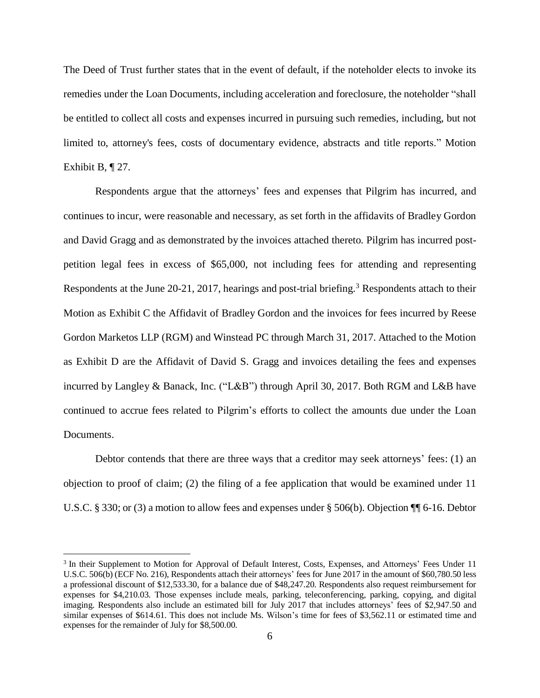The Deed of Trust further states that in the event of default, if the noteholder elects to invoke its remedies under the Loan Documents, including acceleration and foreclosure, the noteholder "shall be entitled to collect all costs and expenses incurred in pursuing such remedies, including, but not limited to, attorney's fees, costs of documentary evidence, abstracts and title reports." Motion Exhibit B, ¶ 27.

Respondents argue that the attorneys' fees and expenses that Pilgrim has incurred, and continues to incur, were reasonable and necessary, as set forth in the affidavits of Bradley Gordon and David Gragg and as demonstrated by the invoices attached thereto. Pilgrim has incurred postpetition legal fees in excess of \$65,000, not including fees for attending and representing Respondents at the June 20-21, 2017, hearings and post-trial briefing.<sup>3</sup> Respondents attach to their Motion as Exhibit C the Affidavit of Bradley Gordon and the invoices for fees incurred by Reese Gordon Marketos LLP (RGM) and Winstead PC through March 31, 2017. Attached to the Motion as Exhibit D are the Affidavit of David S. Gragg and invoices detailing the fees and expenses incurred by Langley & Banack, Inc. ("L&B") through April 30, 2017. Both RGM and L&B have continued to accrue fees related to Pilgrim's efforts to collect the amounts due under the Loan Documents.

Debtor contends that there are three ways that a creditor may seek attorneys' fees: (1) an objection to proof of claim; (2) the filing of a fee application that would be examined under 11 U.S.C. § 330; or (3) a motion to allow fees and expenses under § 506(b). Objection ¶¶ 6-16. Debtor

<sup>&</sup>lt;sup>3</sup> In their Supplement to Motion for Approval of Default Interest, Costs, Expenses, and Attorneys' Fees Under 11 U.S.C. 506(b) (ECF No. 216), Respondents attach their attorneys' fees for June 2017 in the amount of \$60,780.50 less a professional discount of \$12,533.30, for a balance due of \$48,247.20. Respondents also request reimbursement for expenses for \$4,210.03. Those expenses include meals, parking, teleconferencing, parking, copying, and digital imaging. Respondents also include an estimated bill for July 2017 that includes attorneys' fees of \$2,947.50 and similar expenses of \$614.61. This does not include Ms. Wilson's time for fees of \$3,562.11 or estimated time and expenses for the remainder of July for \$8,500.00.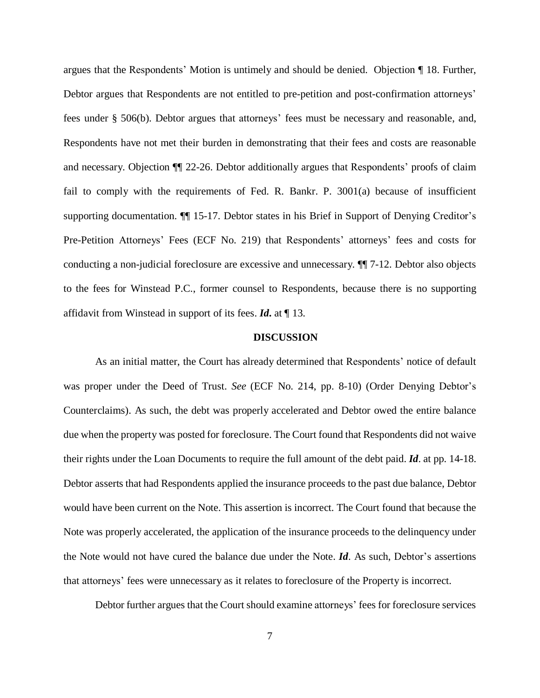argues that the Respondents' Motion is untimely and should be denied. Objection ¶ 18. Further, Debtor argues that Respondents are not entitled to pre-petition and post-confirmation attorneys' fees under § 506(b). Debtor argues that attorneys' fees must be necessary and reasonable, and, Respondents have not met their burden in demonstrating that their fees and costs are reasonable and necessary. Objection ¶¶ 22-26. Debtor additionally argues that Respondents' proofs of claim fail to comply with the requirements of Fed. R. Bankr. P. 3001(a) because of insufficient supporting documentation. ¶¶ 15-17. Debtor states in his Brief in Support of Denying Creditor's Pre-Petition Attorneys' Fees (ECF No. 219) that Respondents' attorneys' fees and costs for conducting a non-judicial foreclosure are excessive and unnecessary. ¶¶ 7-12. Debtor also objects to the fees for Winstead P.C., former counsel to Respondents, because there is no supporting affidavit from Winstead in support of its fees. *Id***.** at ¶ 13.

## **DISCUSSION**

As an initial matter, the Court has already determined that Respondents' notice of default was proper under the Deed of Trust. *See* (ECF No. 214, pp. 8-10) (Order Denying Debtor's Counterclaims). As such, the debt was properly accelerated and Debtor owed the entire balance due when the property was posted for foreclosure. The Court found that Respondents did not waive their rights under the Loan Documents to require the full amount of the debt paid. *Id*. at pp. 14-18. Debtor asserts that had Respondents applied the insurance proceeds to the past due balance, Debtor would have been current on the Note. This assertion is incorrect. The Court found that because the Note was properly accelerated, the application of the insurance proceeds to the delinquency under the Note would not have cured the balance due under the Note. *Id*. As such, Debtor's assertions that attorneys' fees were unnecessary as it relates to foreclosure of the Property is incorrect.

Debtor further argues that the Court should examine attorneys' fees for foreclosure services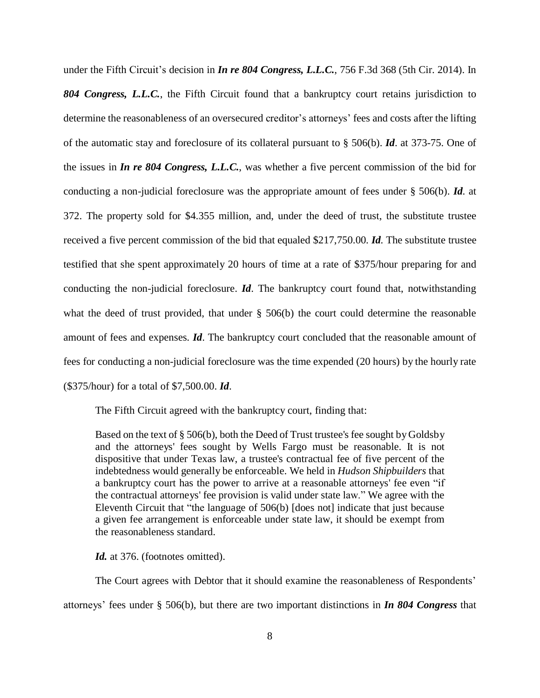under the Fifth Circuit's decision in *In re 804 Congress, L.L.C.*, 756 F.3d 368 (5th Cir. 2014). In *804 Congress, L.L.C.*, the Fifth Circuit found that a bankruptcy court retains jurisdiction to determine the reasonableness of an oversecured creditor's attorneys' fees and costs after the lifting of the automatic stay and foreclosure of its collateral pursuant to § 506(b). *Id*. at 373-75. One of the issues in *In re 804 Congress, L.L.C.*, was whether a five percent commission of the bid for conducting a non-judicial foreclosure was the appropriate amount of fees under § 506(b). *Id*. at 372. The property sold for \$4.355 million, and, under the deed of trust, the substitute trustee received a five percent commission of the bid that equaled \$217,750.00. *Id.* The substitute trustee testified that she spent approximately 20 hours of time at a rate of \$375/hour preparing for and conducting the non-judicial foreclosure. *Id*. The bankruptcy court found that, notwithstanding what the deed of trust provided, that under § 506(b) the court could determine the reasonable amount of fees and expenses. *Id*. The bankruptcy court concluded that the reasonable amount of fees for conducting a non-judicial foreclosure was the time expended (20 hours) by the hourly rate (\$375/hour) for a total of \$7,500.00. *Id*.

The Fifth Circuit agreed with the bankruptcy court, finding that:

Based on the text of § [506\(b\),](https://1.next.westlaw.com/Link/Document/FullText?findType=L&pubNum=1000546&cite=11USCAS506&originatingDoc=I6839b63cfb8d11e390d4edf60ce7d742&refType=RB&originationContext=document&transitionType=DocumentItem&contextData=%28sc.UserEnteredCitation%29#co_pp_a83b000018c76) both the Deed of Trust trustee's fee sought byGoldsby and the attorneys' fees sought by Wells Fargo must be reasonable. It is not dispositive that under Texas law, a trustee's contractual fee of five percent of the indebtedness would generally be enforceable. We held in *Hudson Shipbuilders* that a bankruptcy court has the power to arrive at a reasonable attorneys' fee even "if the contractual attorneys' fee provision is valid under state law." We agree with the Eleventh Circuit that "the language of 506(b) [does not] indicate that just because a given fee arrangement is enforceable under state law, it should be exempt from the reasonableness standard.

Id. at 376. (footnotes omitted).

The Court agrees with Debtor that it should examine the reasonableness of Respondents' attorneys' fees under § 506(b), but there are two important distinctions in *In 804 Congress* that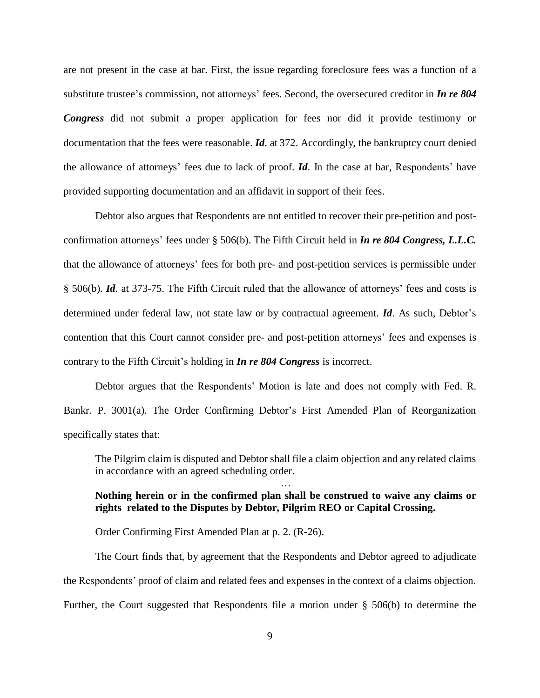are not present in the case at bar. First, the issue regarding foreclosure fees was a function of a substitute trustee's commission, not attorneys' fees. Second, the oversecured creditor in *In re 804 Congress* did not submit a proper application for fees nor did it provide testimony or documentation that the fees were reasonable. *Id*. at 372. Accordingly, the bankruptcy court denied the allowance of attorneys' fees due to lack of proof. *Id*. In the case at bar, Respondents' have provided supporting documentation and an affidavit in support of their fees.

Debtor also argues that Respondents are not entitled to recover their pre-petition and postconfirmation attorneys' fees under § 506(b). The Fifth Circuit held in *In re 804 Congress, L.L.C.* that the allowance of attorneys' fees for both pre- and post-petition services is permissible under § 506(b). *Id*. at 373-75. The Fifth Circuit ruled that the allowance of attorneys' fees and costs is determined under federal law, not state law or by contractual agreement. *Id*. As such, Debtor's contention that this Court cannot consider pre- and post-petition attorneys' fees and expenses is contrary to the Fifth Circuit's holding in *In re 804 Congress* is incorrect.

Debtor argues that the Respondents' Motion is late and does not comply with Fed. R. Bankr. P. 3001(a). The Order Confirming Debtor's First Amended Plan of Reorganization specifically states that:

The Pilgrim claim is disputed and Debtor shall file a claim objection and any related claims in accordance with an agreed scheduling order.

…

# **Nothing herein or in the confirmed plan shall be construed to waive any claims or rights related to the Disputes by Debtor, Pilgrim REO or Capital Crossing.**

Order Confirming First Amended Plan at p. 2. (R-26).

The Court finds that, by agreement that the Respondents and Debtor agreed to adjudicate the Respondents' proof of claim and related fees and expenses in the context of a claims objection. Further, the Court suggested that Respondents file a motion under § 506(b) to determine the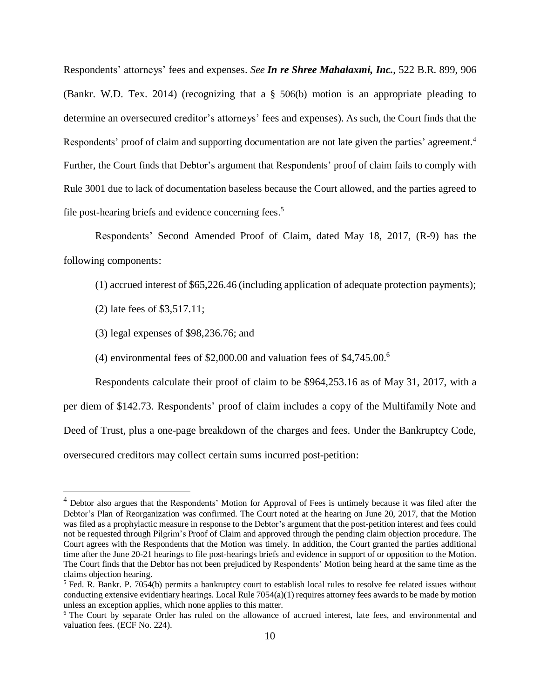Respondents' attorneys' fees and expenses. *See In re Shree Mahalaxmi, Inc.*, 522 B.R. 899, 906 (Bankr. W.D. Tex. 2014) (recognizing that a § 506(b) motion is an appropriate pleading to determine an oversecured creditor's attorneys' fees and expenses). As such, the Court finds that the Respondents' proof of claim and supporting documentation are not late given the parties' agreement.<sup>4</sup> Further, the Court finds that Debtor's argument that Respondents' proof of claim fails to comply with Rule 3001 due to lack of documentation baseless because the Court allowed, and the parties agreed to file post-hearing briefs and evidence concerning fees.<sup>5</sup>

Respondents' Second Amended Proof of Claim, dated May 18, 2017, (R-9) has the following components:

- (1) accrued interest of \$65,226.46 (including application of adequate protection payments);
- (2) late fees of \$3,517.11;

 $\overline{a}$ 

- (3) legal expenses of \$98,236.76; and
- (4) environmental fees of \$2,000.00 and valuation fees of  $$4,745.00<sup>6</sup>$

Respondents calculate their proof of claim to be \$964,253.16 as of May 31, 2017, with a

per diem of \$142.73. Respondents' proof of claim includes a copy of the Multifamily Note and

Deed of Trust, plus a one-page breakdown of the charges and fees. Under the Bankruptcy Code,

oversecured creditors may collect certain sums incurred post-petition:

<sup>&</sup>lt;sup>4</sup> Debtor also argues that the Respondents' Motion for Approval of Fees is untimely because it was filed after the Debtor's Plan of Reorganization was confirmed. The Court noted at the hearing on June 20, 2017, that the Motion was filed as a prophylactic measure in response to the Debtor's argument that the post-petition interest and fees could not be requested through Pilgrim's Proof of Claim and approved through the pending claim objection procedure. The Court agrees with the Respondents that the Motion was timely. In addition, the Court granted the parties additional time after the June 20-21 hearings to file post-hearings briefs and evidence in support of or opposition to the Motion. The Court finds that the Debtor has not been prejudiced by Respondents' Motion being heard at the same time as the claims objection hearing.

<sup>5</sup> Fed. R. Bankr. P. 7054(b) permits a bankruptcy court to establish local rules to resolve fee related issues without conducting extensive evidentiary hearings. Local Rule  $7054(a)(1)$  requires attorney fees awards to be made by motion unless an exception applies, which none applies to this matter.

<sup>&</sup>lt;sup>6</sup> The Court by separate Order has ruled on the allowance of accrued interest, late fees, and environmental and valuation fees. (ECF No. 224).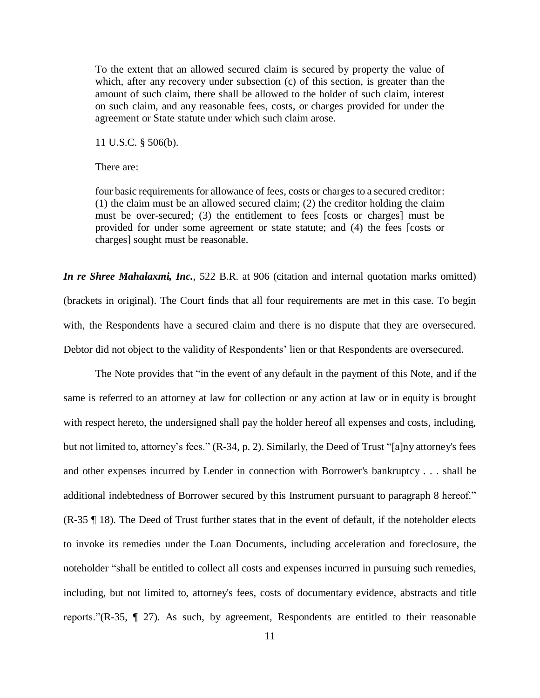To the extent that an allowed secured claim is secured by property the value of which, after any recovery under subsection (c) of this section, is greater than the amount of such claim, there shall be allowed to the holder of such claim, interest on such claim, and any reasonable fees, costs, or charges provided for under the agreement or State statute under which such claim arose.

11 U.S.C. § 506(b).

There are:

four basic requirements for allowance of fees, costs or charges to a secured creditor: (1) the claim must be an allowed secured claim; (2) the creditor holding the claim must be over-secured; (3) the entitlement to fees [costs or charges] must be provided for under some agreement or state statute; and (4) the fees [costs or charges] sought must be reasonable.

*In re Shree Mahalaxmi, Inc.*, 522 B.R. at 906 (citation and internal quotation marks omitted) (brackets in original). The Court finds that all four requirements are met in this case. To begin with, the Respondents have a secured claim and there is no dispute that they are oversecured. Debtor did not object to the validity of Respondents' lien or that Respondents are oversecured.

The Note provides that "in the event of any default in the payment of this Note, and if the same is referred to an attorney at law for collection or any action at law or in equity is brought with respect hereto, the undersigned shall pay the holder hereof all expenses and costs, including, but not limited to, attorney's fees." (R-34, p. 2). Similarly, the Deed of Trust "[a]ny attorney's fees and other expenses incurred by Lender in connection with Borrower's bankruptcy . . . shall be additional indebtedness of Borrower secured by this Instrument pursuant to paragraph 8 hereof." (R-35 ¶ 18). The Deed of Trust further states that in the event of default, if the noteholder elects to invoke its remedies under the Loan Documents, including acceleration and foreclosure, the noteholder "shall be entitled to collect all costs and expenses incurred in pursuing such remedies, including, but not limited to, attorney's fees, costs of documentary evidence, abstracts and title reports."(R-35, ¶ 27). As such, by agreement, Respondents are entitled to their reasonable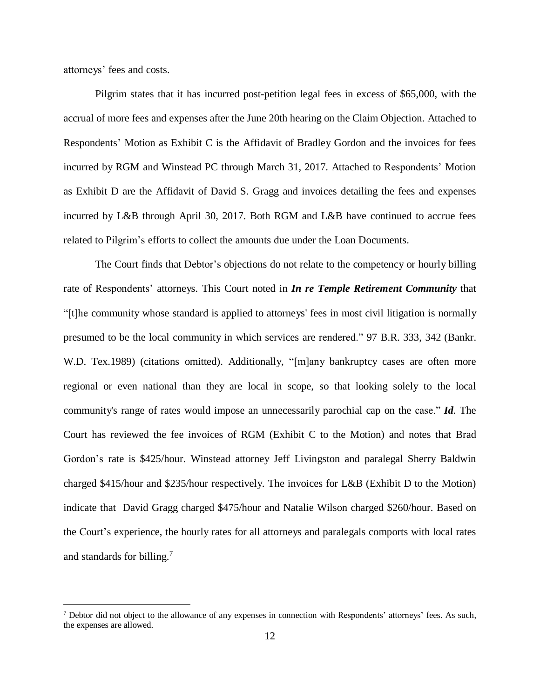attorneys' fees and costs.

 $\overline{a}$ 

Pilgrim states that it has incurred post-petition legal fees in excess of \$65,000, with the accrual of more fees and expenses after the June 20th hearing on the Claim Objection. Attached to Respondents' Motion as Exhibit C is the Affidavit of Bradley Gordon and the invoices for fees incurred by RGM and Winstead PC through March 31, 2017. Attached to Respondents' Motion as Exhibit D are the Affidavit of David S. Gragg and invoices detailing the fees and expenses incurred by L&B through April 30, 2017. Both RGM and L&B have continued to accrue fees related to Pilgrim's efforts to collect the amounts due under the Loan Documents.

The Court finds that Debtor's objections do not relate to the competency or hourly billing rate of Respondents' attorneys. This Court noted in *In re Temple Retirement Community* that "[t]he community whose standard is applied to attorneys' fees in most civil litigation is normally presumed to be the local community in which services are rendered." 97 B.R. 333, 342 [\(Bankr.](https://1.next.westlaw.com/Link/Document/FullText?findType=Y&serNum=1989037710&pubNum=0000164&originatingDoc=I8639c3b4871611e49488c8f438320c70&refType=RP&fi=co_pp_sp_164_342&originationContext=document&transitionType=DocumentItem&contextData=%28sc.UserEnteredCitation%29#co_pp_sp_164_342) W.D. [Tex.1989\)](https://1.next.westlaw.com/Link/Document/FullText?findType=Y&serNum=1989037710&pubNum=0000164&originatingDoc=I8639c3b4871611e49488c8f438320c70&refType=RP&fi=co_pp_sp_164_342&originationContext=document&transitionType=DocumentItem&contextData=%28sc.UserEnteredCitation%29#co_pp_sp_164_342) (citations omitted). Additionally, "[m]any bankruptcy cases are often more regional or even national than they are local in scope, so that looking solely to the local community's range of rates would impose an unnecessarily parochial cap on the case." *Id.* The Court has reviewed the fee invoices of RGM (Exhibit C to the Motion) and notes that Brad Gordon's rate is \$425/hour. Winstead attorney Jeff Livingston and paralegal Sherry Baldwin charged \$415/hour and \$235/hour respectively. The invoices for L&B (Exhibit D to the Motion) indicate that David Gragg charged \$475/hour and Natalie Wilson charged \$260/hour. Based on the Court's experience, the hourly rates for all attorneys and paralegals comports with local rates and standards for billing.<sup>7</sup>

 $<sup>7</sup>$  Debtor did not object to the allowance of any expenses in connection with Respondents' attorneys' fees. As such,</sup> the expenses are allowed.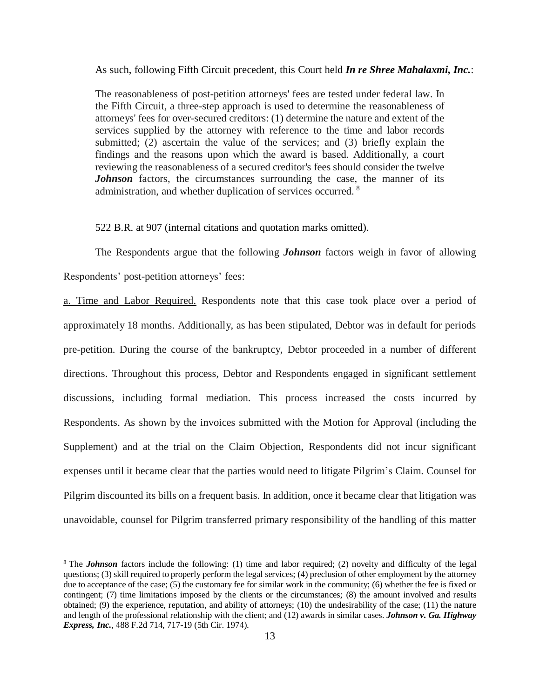As such, following Fifth Circuit precedent, this Court held *In re Shree Mahalaxmi, Inc.*:

The reasonableness of post-petition attorneys' fees are tested under federal law. In the Fifth Circuit, a three-step approach is used to determine the reasonableness of attorneys' fees for over-secured creditors: (1) determine the nature and extent of the services supplied by the attorney with reference to the time and labor records submitted; (2) ascertain the value of the services; and (3) briefly explain the findings and the reasons upon which the award is based. Additionally, a court reviewing the reasonableness of a secured creditor's fees should consider the twelve *Johnson* factors, the circumstances surrounding the case, the manner of its administration, and whether duplication of services occurred. <sup>8</sup>

522 B.R. at 907 (internal citations and quotation marks omitted).

The Respondents argue that the following *Johnson* factors weigh in favor of allowing Respondents' post-petition attorneys' fees:

a. Time and Labor Required. Respondents note that this case took place over a period of approximately 18 months. Additionally, as has been stipulated, Debtor was in default for periods pre-petition. During the course of the bankruptcy, Debtor proceeded in a number of different directions. Throughout this process, Debtor and Respondents engaged in significant settlement discussions, including formal mediation. This process increased the costs incurred by Respondents. As shown by the invoices submitted with the Motion for Approval (including the Supplement) and at the trial on the Claim Objection, Respondents did not incur significant expenses until it became clear that the parties would need to litigate Pilgrim's Claim. Counsel for Pilgrim discounted its bills on a frequent basis. In addition, once it became clear that litigation was unavoidable, counsel for Pilgrim transferred primary responsibility of the handling of this matter

<sup>&</sup>lt;sup>8</sup> The *[Johnson](https://1.next.westlaw.com/Link/Document/FullText?findType=Y&serNum=1974108744&pubNum=0000350&originatingDoc=I81b83f1079a111e6b63ccfe393a33906&refType=RP&originationContext=document&transitionType=DocumentItem&contextData=%28sc.Search%29)* factors include the following: (1) time and labor required; (2) novelty and difficulty of the legal questions; (3) skill required to properly perform the legal services; (4) preclusion of other employment by the attorney due to acceptance of the case; (5) the customary fee for similar work in the community; (6) whether the fee is fixed or contingent; (7) time limitations imposed by the clients or the circumstances; (8) the amount involved and results obtained; (9) the experience, reputation, and ability of attorneys; (10) the undesirability of the case; (11) the nature and length of the professional relationship with the client; and (12) awards in similar cases. *Johnson v. Ga. Highway Express, Inc.*, 488 F.2d 714, 717-19 (5th Cir. 1974).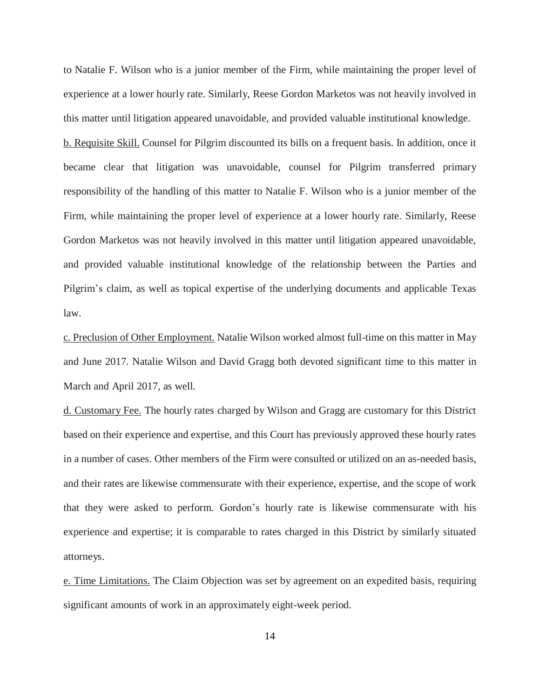to Natalie F. Wilson who is a junior member of the Firm, while maintaining the proper level of experience at a lower hourly rate. Similarly, Reese Gordon Marketos was not heavily involved in this matter until litigation appeared unavoidable, and provided valuable institutional knowledge.

b. Requisite Skill. Counsel for Pilgrim discounted its bills on a frequent basis. In addition, once it became clear that litigation was unavoidable, counsel for Pilgrim transferred primary responsibility of the handling of this matter to Natalie F. Wilson who is a junior member of the Firm, while maintaining the proper level of experience at a lower hourly rate. Similarly, Reese Gordon Marketos was not heavily involved in this matter until litigation appeared unavoidable, and provided valuable institutional knowledge of the relationship between the Parties and Pilgrim's claim, as well as topical expertise of the underlying documents and applicable Texas law.

c. Preclusion of Other Employment. Natalie Wilson worked almost full-time on this matter in May and June 2017. Natalie Wilson and David Gragg both devoted significant time to this matter in March and April 2017, as well.

d. Customary Fee. The hourly rates charged by Wilson and Gragg are customary for this District based on their experience and expertise, and this Court has previously approved these hourly rates in a number of cases. Other members of the Firm were consulted or utilized on an as-needed basis, and their rates are likewise commensurate with their experience, expertise, and the scope of work that they were asked to perform. Gordon's hourly rate is likewise commensurate with his experience and expertise; it is comparable to rates charged in this District by similarly situated attorneys.

e. Time Limitations. The Claim Objection was set by agreement on an expedited basis, requiring significant amounts of work in an approximately eight-week period.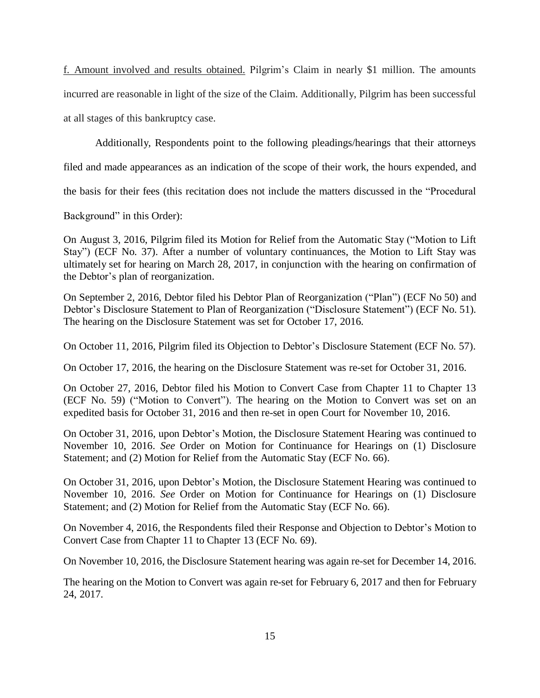f. Amount involved and results obtained. Pilgrim's Claim in nearly \$1 million. The amounts incurred are reasonable in light of the size of the Claim. Additionally, Pilgrim has been successful at all stages of this bankruptcy case.

Additionally, Respondents point to the following pleadings/hearings that their attorneys

filed and made appearances as an indication of the scope of their work, the hours expended, and

the basis for their fees (this recitation does not include the matters discussed in the "Procedural

Background" in this Order):

On August 3, 2016, Pilgrim filed its Motion for Relief from the Automatic Stay ("Motion to Lift Stay") (ECF No. 37). After a number of voluntary continuances, the Motion to Lift Stay was ultimately set for hearing on March 28, 2017, in conjunction with the hearing on confirmation of the Debtor's plan of reorganization.

On September 2, 2016, Debtor filed his Debtor Plan of Reorganization ("Plan") (ECF No 50) and Debtor's Disclosure Statement to Plan of Reorganization ("Disclosure Statement") (ECF No. 51). The hearing on the Disclosure Statement was set for October 17, 2016.

On October 11, 2016, Pilgrim filed its Objection to Debtor's Disclosure Statement (ECF No. 57).

On October 17, 2016, the hearing on the Disclosure Statement was re-set for October 31, 2016.

On October 27, 2016, Debtor filed his Motion to Convert Case from Chapter 11 to Chapter 13 (ECF No. 59) ("Motion to Convert"). The hearing on the Motion to Convert was set on an expedited basis for October 31, 2016 and then re-set in open Court for November 10, 2016.

On October 31, 2016, upon Debtor's Motion, the Disclosure Statement Hearing was continued to November 10, 2016. *See* Order on Motion for Continuance for Hearings on (1) Disclosure Statement; and (2) Motion for Relief from the Automatic Stay (ECF No. 66).

On October 31, 2016, upon Debtor's Motion, the Disclosure Statement Hearing was continued to November 10, 2016. *See* Order on Motion for Continuance for Hearings on (1) Disclosure Statement; and (2) Motion for Relief from the Automatic Stay (ECF No. 66).

On November 4, 2016, the Respondents filed their Response and Objection to Debtor's Motion to Convert Case from Chapter 11 to Chapter 13 (ECF No. 69).

On November 10, 2016, the Disclosure Statement hearing was again re-set for December 14, 2016.

The hearing on the Motion to Convert was again re-set for February 6, 2017 and then for February 24, 2017.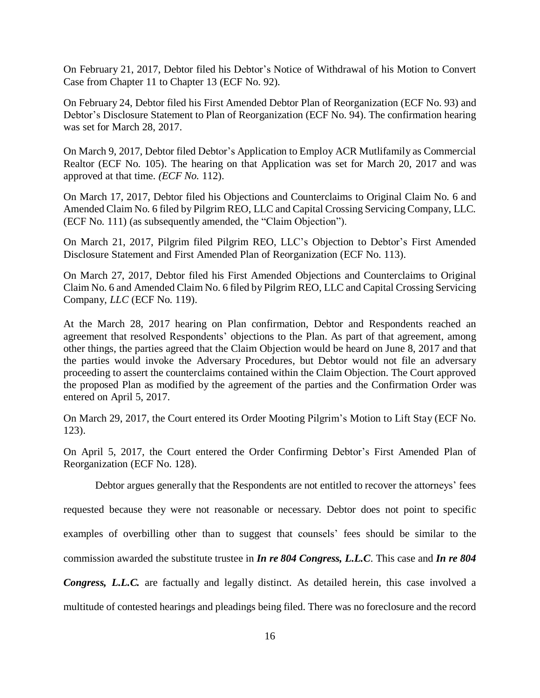On February 21, 2017, Debtor filed his Debtor's Notice of Withdrawal of his Motion to Convert Case from Chapter 11 to Chapter 13 (ECF No. 92).

On February 24, Debtor filed his First Amended Debtor Plan of Reorganization (ECF No. 93) and Debtor's Disclosure Statement to Plan of Reorganization (ECF No. 94). The confirmation hearing was set for March 28, 2017.

On March 9, 2017, Debtor filed Debtor's Application to Employ ACR Mutlifamily as Commercial Realtor (ECF No. 105). The hearing on that Application was set for March 20, 2017 and was approved at that time. *(ECF No.* 112).

On March 17, 2017, Debtor filed his Objections and Counterclaims to Original Claim No. 6 and Amended Claim No. 6 filed by Pilgrim REO, LLC and Capital Crossing Servicing Company, LLC*.* (ECF No. 111) (as subsequently amended, the "Claim Objection").

On March 21, 2017, Pilgrim filed Pilgrim REO, LLC's Objection to Debtor's First Amended Disclosure Statement and First Amended Plan of Reorganization (ECF No. 113).

On March 27, 2017, Debtor filed his First Amended Objections and Counterclaims to Original Claim No. 6 and Amended Claim No. 6 filed by Pilgrim REO, LLC and Capital Crossing Servicing Company*, LLC* (ECF No. 119).

At the March 28, 2017 hearing on Plan confirmation, Debtor and Respondents reached an agreement that resolved Respondents' objections to the Plan. As part of that agreement, among other things, the parties agreed that the Claim Objection would be heard on June 8, 2017 and that the parties would invoke the Adversary Procedures, but Debtor would not file an adversary proceeding to assert the counterclaims contained within the Claim Objection. The Court approved the proposed Plan as modified by the agreement of the parties and the Confirmation Order was entered on April 5, 2017.

On March 29, 2017, the Court entered its Order Mooting Pilgrim's Motion to Lift Stay (ECF No. 123).

On April 5, 2017, the Court entered the Order Confirming Debtor's First Amended Plan of Reorganization (ECF No. 128).

Debtor argues generally that the Respondents are not entitled to recover the attorneys' fees

requested because they were not reasonable or necessary. Debtor does not point to specific

examples of overbilling other than to suggest that counsels' fees should be similar to the

commission awarded the substitute trustee in *In re 804 Congress, L.L.C*. This case and *In re 804*

*Congress, L.L.C.* are factually and legally distinct. As detailed herein, this case involved a multitude of contested hearings and pleadings being filed. There was no foreclosure and the record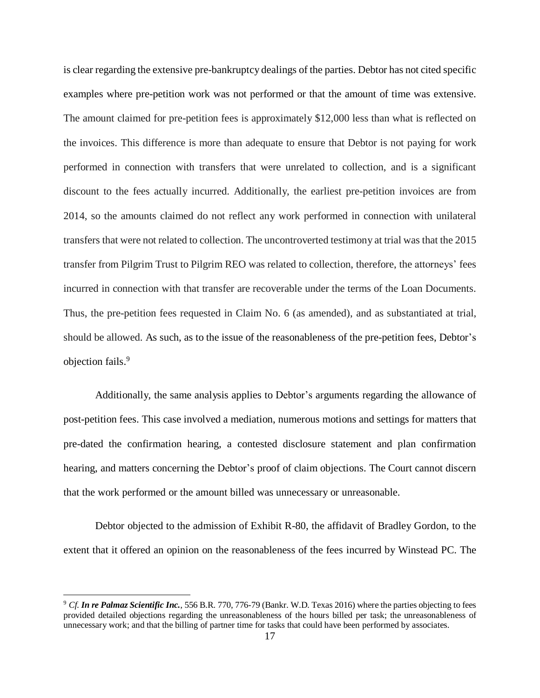is clear regarding the extensive pre-bankruptcy dealings of the parties. Debtor has not cited specific examples where pre-petition work was not performed or that the amount of time was extensive. The amount claimed for pre-petition fees is approximately \$12,000 less than what is reflected on the invoices. This difference is more than adequate to ensure that Debtor is not paying for work performed in connection with transfers that were unrelated to collection, and is a significant discount to the fees actually incurred. Additionally, the earliest pre-petition invoices are from 2014, so the amounts claimed do not reflect any work performed in connection with unilateral transfers that were not related to collection. The uncontroverted testimony at trial was that the 2015 transfer from Pilgrim Trust to Pilgrim REO was related to collection, therefore, the attorneys' fees incurred in connection with that transfer are recoverable under the terms of the Loan Documents. Thus, the pre-petition fees requested in Claim No. 6 (as amended), and as substantiated at trial, should be allowed. As such, as to the issue of the reasonableness of the pre-petition fees, Debtor's objection fails.<sup>9</sup>

Additionally, the same analysis applies to Debtor's arguments regarding the allowance of post-petition fees. This case involved a mediation, numerous motions and settings for matters that pre-dated the confirmation hearing, a contested disclosure statement and plan confirmation hearing, and matters concerning the Debtor's proof of claim objections. The Court cannot discern that the work performed or the amount billed was unnecessary or unreasonable.

Debtor objected to the admission of Exhibit R-80, the affidavit of Bradley Gordon, to the extent that it offered an opinion on the reasonableness of the fees incurred by Winstead PC. The

<sup>9</sup> *Cf. In re Palmaz Scientific Inc.*, 556 B.R. 770, 776-79 (Bankr. W.D. Texas 2016) where the parties objecting to fees provided detailed objections regarding the unreasonableness of the hours billed per task; the unreasonableness of unnecessary work; and that the billing of partner time for tasks that could have been performed by associates.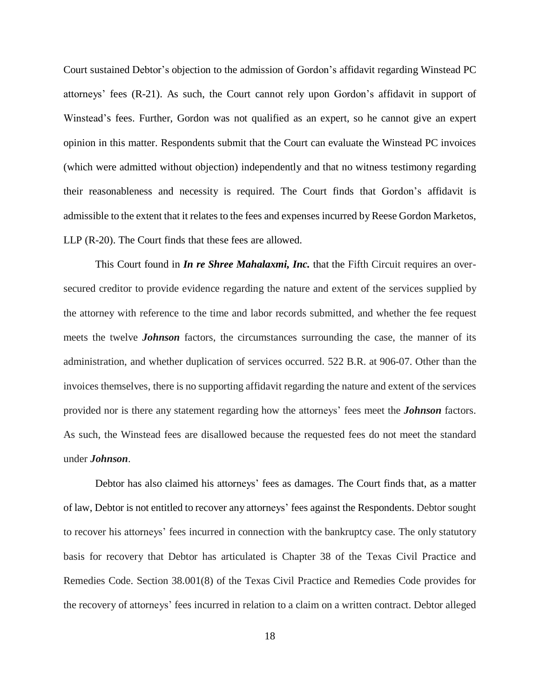Court sustained Debtor's objection to the admission of Gordon's affidavit regarding Winstead PC attorneys' fees (R-21). As such, the Court cannot rely upon Gordon's affidavit in support of Winstead's fees. Further, Gordon was not qualified as an expert, so he cannot give an expert opinion in this matter. Respondents submit that the Court can evaluate the Winstead PC invoices (which were admitted without objection) independently and that no witness testimony regarding their reasonableness and necessity is required. The Court finds that Gordon's affidavit is admissible to the extent that it relates to the fees and expenses incurred byReese Gordon Marketos, LLP (R-20). The Court finds that these fees are allowed.

This Court found in *In re Shree Mahalaxmi, Inc.* that the Fifth Circuit requires an oversecured creditor to provide evidence regarding the nature and extent of the services supplied by the attorney with reference to the time and labor records submitted, and whether the fee request meets the twelve *Johnson* factors, the circumstances surrounding the case, the manner of its administration, and whether duplication of services occurred. 522 B.R. at 906-07. Other than the invoices themselves, there is no supporting affidavit regarding the nature and extent of the services provided nor is there any statement regarding how the attorneys' fees meet the *Johnson* factors. As such, the Winstead fees are disallowed because the requested fees do not meet the standard under *Johnson*.

Debtor has also claimed his attorneys' fees as damages. The Court finds that, as a matter of law, Debtor is not entitled to recover any attorneys' fees against the Respondents. Debtor sought to recover his attorneys' fees incurred in connection with the bankruptcy case. The only statutory basis for recovery that Debtor has articulated is Chapter 38 of the Texas Civil Practice and Remedies Code. Section 38.001(8) of the Texas Civil Practice and Remedies Code provides for the recovery of attorneys' fees incurred in relation to a claim on a written contract. Debtor alleged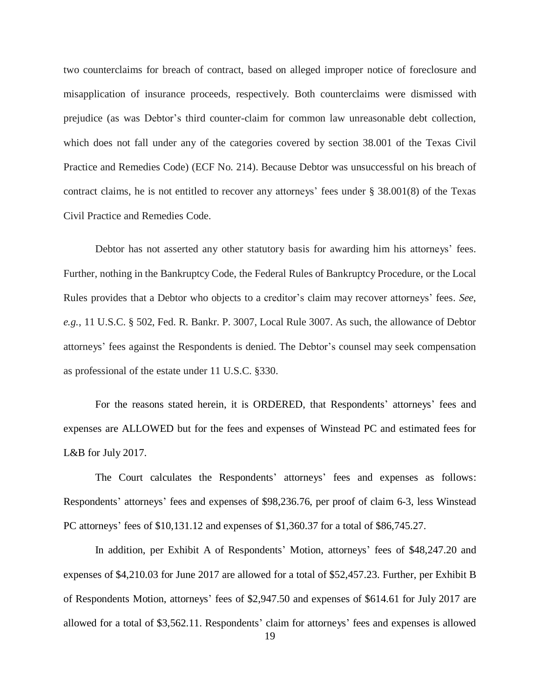two counterclaims for breach of contract, based on alleged improper notice of foreclosure and misapplication of insurance proceeds, respectively. Both counterclaims were dismissed with prejudice (as was Debtor's third counter-claim for common law unreasonable debt collection, which does not fall under any of the categories covered by section 38.001 of the Texas Civil Practice and Remedies Code) (ECF No. 214). Because Debtor was unsuccessful on his breach of contract claims, he is not entitled to recover any attorneys' fees under § 38.001(8) of the Texas Civil Practice and Remedies Code.

Debtor has not asserted any other statutory basis for awarding him his attorneys' fees. Further, nothing in the Bankruptcy Code, the Federal Rules of Bankruptcy Procedure, or the Local Rules provides that a Debtor who objects to a creditor's claim may recover attorneys' fees. *See*, *e.g.*, 11 U.S.C. § 502, Fed. R. Bankr. P. 3007, Local Rule 3007. As such, the allowance of Debtor attorneys' fees against the Respondents is denied. The Debtor's counsel may seek compensation as professional of the estate under 11 U.S.C. §330.

For the reasons stated herein, it is ORDERED, that Respondents' attorneys' fees and expenses are ALLOWED but for the fees and expenses of Winstead PC and estimated fees for L&B for July 2017.

The Court calculates the Respondents' attorneys' fees and expenses as follows: Respondents' attorneys' fees and expenses of \$98,236.76, per proof of claim 6-3, less Winstead PC attorneys' fees of \$10,131.12 and expenses of \$1,360.37 for a total of \$86,745.27.

In addition, per Exhibit A of Respondents' Motion, attorneys' fees of \$48,247.20 and expenses of \$4,210.03 for June 2017 are allowed for a total of \$52,457.23. Further, per Exhibit B of Respondents Motion, attorneys' fees of \$2,947.50 and expenses of \$614.61 for July 2017 are allowed for a total of \$3,562.11. Respondents' claim for attorneys' fees and expenses is allowed